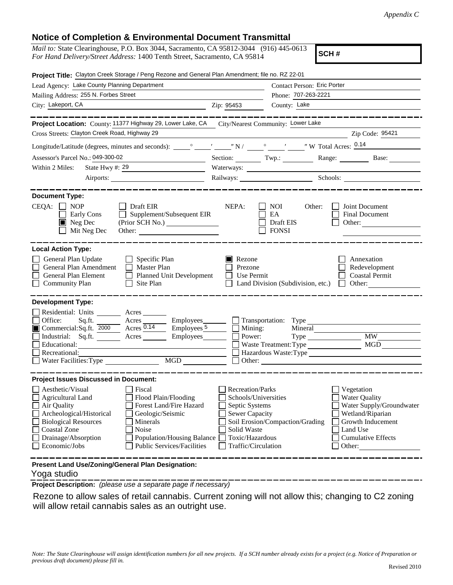## **Notice of Completion & Environmental Document Transmittal**

| <b>NUCLUS OF COMPLEMON &amp; LITTLE COMPLETED DOCUMENT FRAMERIAL</b>                                                                                                                                                                                                                                                                                           |                                                                                                                                                                                                                                                                                                                                               |  |  |
|----------------------------------------------------------------------------------------------------------------------------------------------------------------------------------------------------------------------------------------------------------------------------------------------------------------------------------------------------------------|-----------------------------------------------------------------------------------------------------------------------------------------------------------------------------------------------------------------------------------------------------------------------------------------------------------------------------------------------|--|--|
| <i>Mail to:</i> State Clearinghouse, P.O. Box 3044, Sacramento, CA 95812-3044 (916) 445-0613<br>SCH#<br>For Hand Delivery/Street Address: 1400 Tenth Street, Sacramento, CA 95814                                                                                                                                                                              |                                                                                                                                                                                                                                                                                                                                               |  |  |
| Project Title: Clayton Creek Storage / Peng Rezone and General Plan Amendment; file no. RZ 22-01                                                                                                                                                                                                                                                               |                                                                                                                                                                                                                                                                                                                                               |  |  |
| Lead Agency: Lake County Planning Department                                                                                                                                                                                                                                                                                                                   | Contact Person: Eric Porter                                                                                                                                                                                                                                                                                                                   |  |  |
| Mailing Address: 255 N. Forbes Street                                                                                                                                                                                                                                                                                                                          | Phone: 707-263-2221                                                                                                                                                                                                                                                                                                                           |  |  |
| City: Lakeport, CA<br><u> 1989 - Johann Barnett, fransk politiker (</u>                                                                                                                                                                                                                                                                                        | County: Lake<br>Zip: 95453                                                                                                                                                                                                                                                                                                                    |  |  |
|                                                                                                                                                                                                                                                                                                                                                                | ---------------                                                                                                                                                                                                                                                                                                                               |  |  |
| Project Location: County: 11377 Highway 29, Lower Lake, CA City/Nearest Community: Lower Lake<br>Cross Streets: Clayton Creek Road, Highway 29                                                                                                                                                                                                                 | Zip Code: 95421                                                                                                                                                                                                                                                                                                                               |  |  |
|                                                                                                                                                                                                                                                                                                                                                                |                                                                                                                                                                                                                                                                                                                                               |  |  |
|                                                                                                                                                                                                                                                                                                                                                                |                                                                                                                                                                                                                                                                                                                                               |  |  |
| Assessor's Parcel No.: 049-300-02                                                                                                                                                                                                                                                                                                                              | Section: Twp.: Range: Base:                                                                                                                                                                                                                                                                                                                   |  |  |
| Within 2 Miles:                                                                                                                                                                                                                                                                                                                                                |                                                                                                                                                                                                                                                                                                                                               |  |  |
| Airports:                                                                                                                                                                                                                                                                                                                                                      | Railways: Schools: Schools: Charles and Schools: Charles and Schools: Charles and Schools: Charles and Schools: Charles and Schools: Charles and Schools: Charles and Schools: Charles and Schools: Charles and Schools: Charl                                                                                                                |  |  |
| <b>Document Type:</b>                                                                                                                                                                                                                                                                                                                                          |                                                                                                                                                                                                                                                                                                                                               |  |  |
| $CEQA: \Box NOP$<br>$\Box$ Draft EIR<br>$\Box$ Supplement/Subsequent EIR<br>Early Cons<br>Neg Dec<br>Mit Neg Dec<br>Other:                                                                                                                                                                                                                                     | NEPA:<br>NOI<br>Other:<br><b>Joint Document</b><br>Final Document<br>EA<br>Draft EIS<br>Other:<br><b>FONSI</b>                                                                                                                                                                                                                                |  |  |
| <b>Local Action Type:</b><br>General Plan Update<br>$\Box$ Specific Plan<br>General Plan Amendment<br>$\Box$ Master Plan<br>Planned Unit Development<br>General Plan Element<br><b>Community Plan</b><br>Site Plan<br>$\mathbf{1}$                                                                                                                             | Rezone<br>Annexation<br>Prezone<br>Redevelopment<br>Use Permit<br><b>Coastal Permit</b><br>$\perp$<br>Land Division (Subdivision, etc.)<br>Other:<br>$\Box$                                                                                                                                                                                   |  |  |
| <b>Development Type:</b>                                                                                                                                                                                                                                                                                                                                       |                                                                                                                                                                                                                                                                                                                                               |  |  |
| Residential: Units ________ Acres _______<br>□ Office: Sq.ft. <u>and Acres</u> Acres Employees Transportation: Type Commercial:Sq.ft. 2000 Acres 2.14 Employees Employees Nuning: Mineral<br>Industrial: Sq.ft. <u>Acres</u> Acres Employees C<br>Recreational:<br>$\overline{MGD}$<br>Water Facilities: Type                                                  | Mineral<br>Power:<br>Type MW<br>MGD<br>Waste Treatment: Type<br>Hazardous Waste:Type<br>Other:                                                                                                                                                                                                                                                |  |  |
| <b>Project Issues Discussed in Document:</b>                                                                                                                                                                                                                                                                                                                   |                                                                                                                                                                                                                                                                                                                                               |  |  |
| Aesthetic/Visual<br>Fiscal<br><b>Agricultural Land</b><br>Flood Plain/Flooding<br>Air Quality<br>Forest Land/Fire Hazard<br>Archeological/Historical<br>Geologic/Seismic<br><b>Biological Resources</b><br>Minerals<br><b>Coastal Zone</b><br>Noise<br>Drainage/Absorption<br>Population/Housing Balance<br>Economic/Jobs<br><b>Public Services/Facilities</b> | <b>Recreation/Parks</b><br>Vegetation<br>Schools/Universities<br><b>Water Quality</b><br>Water Supply/Groundwater<br>Septic Systems<br>Sewer Capacity<br>Wetland/Riparian<br>Soil Erosion/Compaction/Grading<br>Growth Inducement<br>Solid Waste<br>Land Use<br>Toxic/Hazardous<br><b>Cumulative Effects</b><br>Traffic/Circulation<br>Other: |  |  |
| Present Land Use/Zoning/General Plan Designation:                                                                                                                                                                                                                                                                                                              |                                                                                                                                                                                                                                                                                                                                               |  |  |

## Yoga studio

**Project Description:** *(please use a separate page if necessary)*

 Rezone to allow sales of retail cannabis. Current zoning will not allow this; changing to C2 zoning will allow retail cannabis sales as an outright use.